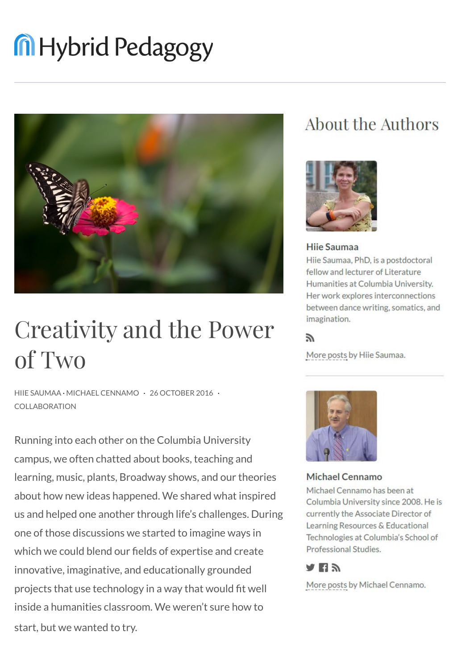# **M** Hybrid Pedagogy



## Creativity and the Power of Two

HIIE SAUMAA · MICHAEL CENNAMO · 26 OCTOBER 2016 · COLLABORATION

Running into each other on the Columbia University campus, we often chatted about books, teaching and learning, music, plants, Broadway shows, and our theories about how new ideas happened. We shared what inspired us and helped one another through life's challenges. During one of those discussions we started to imagine ways in which we could blend our fields of expertise and create innovative, imaginative, and educationally grounded projects that use technology in a way that would fit well inside a humanities classroom. We weren't sure how to start, but we wanted to try.

### About the Authors



#### Hije Saumaa Hiie Saumaa, PhD, is a postdoctoral fellow and lecturer of Literature Humanities at Columbia University. Her work explores interconnections between dance writing, somatics, and imagination.

#### F.

More posts by Hiie Saumaa.



**Michael Cennamo** 

Michael Cennamo has been at Columbia University since 2008. He is currently the Associate Director of Learning Resources & Educational Technologies at Columbia's School of Professional Studies.

#### а ну

More posts by Michael Cennamo.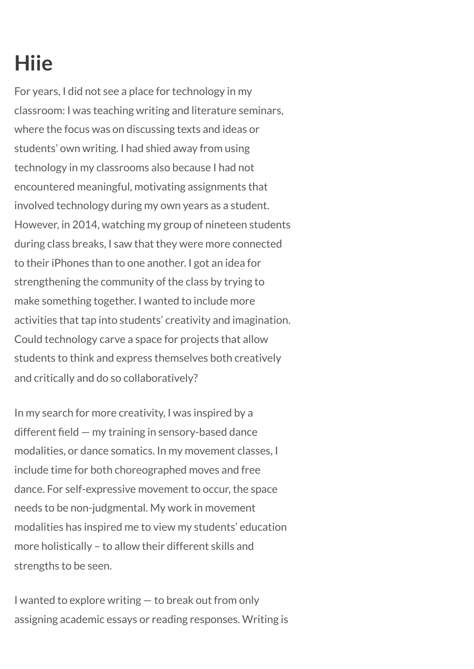### **Hiie**

For years, I did not see a place for technology in my classroom: I was teaching writing and literature seminars, where the focus was on discussing texts and ideas or students' own writing. I had shied away from using technology in my classrooms also because I had not encountered meaningful, motivating assignments that involved technology during my own years as a student. However, in 2014, watching my group of nineteen students during class breaks, I saw that they were more connected to their iPhones than to one another. I got an idea for strengthening the community of the class by trying to make something together. I wanted to include more activities that tap into students' creativity and imagination. Could technology carve a space for projects that allow students to think and express themselves both creatively and critically and do so collaboratively?

In my search for more creativity, I was inspired by a different field — my training in sensory-based dance modalities, or dance somatics. In my movement classes, I include time for both choreographed moves and free dance. For self-expressive movement to occur, the space needs to be non-judgmental. My work in movement modalities has inspired me to view my students' education more holistically – to allow their different skills and strengths to be seen.

I wanted to explore writing — to break out from only assigning academic essays or reading responses. Writing is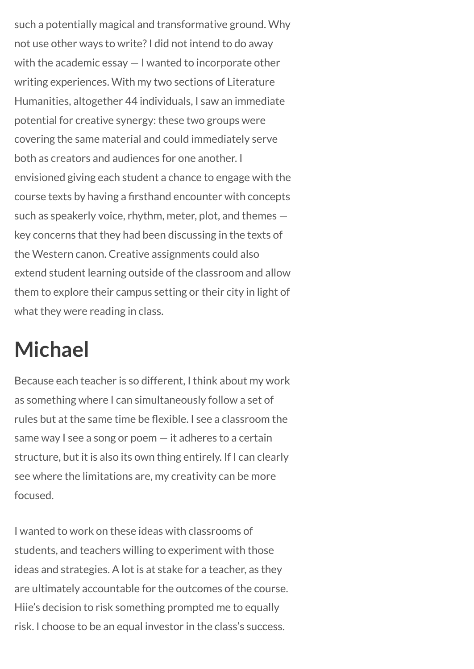such a potentially magical and transformative ground. Why not use other ways to write? I did not intend to do away with the academic essay — I wanted to incorporate other writing experiences. With my two sections of Literature Humanities, altogether 44 individuals, I saw an immediate potential for creative synergy: these two groups were covering the same material and could immediately serve both as creators and audiences for one another. I envisioned giving each student a chance to engage with the course texts by having a firsthand encounter with concepts such as speakerly voice, rhythm, meter, plot, and themes key concerns that they had been discussing in the texts of the Western canon. Creative assignments could also extend student learning outside of the classroom and allow them to explore their campus setting or their city in light of what they were reading in class.

### **Michael**

Because each teacher is so different, I think about my work as something where I can simultaneously follow a set of rules but at the same time be flexible. I see a classroom the same way I see a song or poem — it adheres to a certain structure, but it is also its own thing entirely. If I can clearly see where the limitations are, my creativity can be more focused.

I wanted to work on these ideas with classrooms of students, and teachers willing to experiment with those ideas and strategies. A lot is at stake for a teacher, as they are ultimately accountable for the outcomes of the course. Hiie's decision to risk something prompted me to equally risk. I choose to be an equal investor in the class's success.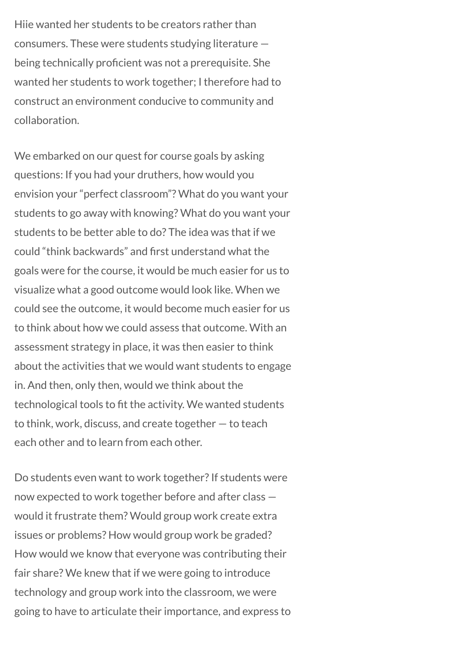Hiie wanted her students to be creators rather than consumers. These were students studying literature being technically proficient was not a prerequisite. She wanted her students to work together; I therefore had to construct an environment conducive to community and collaboration.

We embarked on our quest for course goals by asking questions: If you had your druthers, how would you envision your "perfect classroom"? What do you want your students to go away with knowing? What do you want your students to be better able to do? The idea was that if we could "think backwards" and first understand what the goals were for the course, it would be much easier for us to visualize what a good outcome would look like. When we could see the outcome, it would become much easier for us to think about how we could assess that outcome. With an assessment strategy in place, it was then easier to think about the activities that we would want students to engage in. And then, only then, would we think about the technological tools to fit the activity. We wanted students to think, work, discuss, and create together — to teach each other and to learn from each other.

Do students even want to work together? If students were now expected to work together before and after class would it frustrate them? Would group work create extra issues or problems? How would group work be graded? How would we know that everyone was contributing their fair share? We knew that if we were going to introduce technology and group work into the classroom, we were going to have to articulate their importance, and express to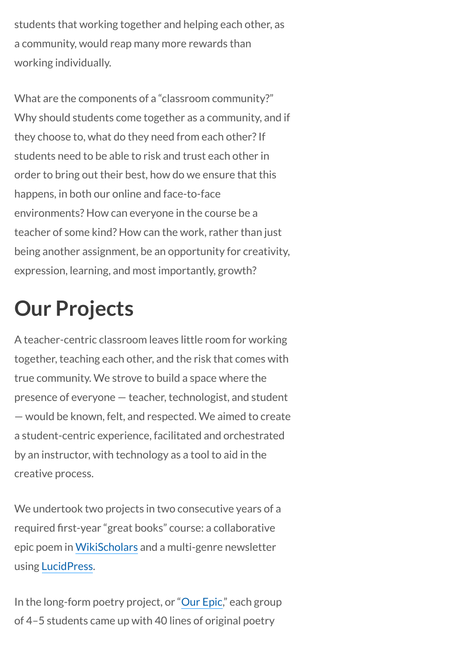students that working together and helping each other, as a community, would reap many more rewards than working individually.

What are the components of a "classroom community?" Why should students come together as a community, and if they choose to, what do they need from each other? If students need to be able to risk and trust each other in order to bring out their best, how do we ensure that this happens, in both our online and face-to-face environments? How can everyone in the course be a teacher of some kind? How can the work, rather than just being another assignment, be an opportunity for creativity, expression, learning, and most importantly, growth?

### **Our Projects**

A teacher-centric classroom leaves little room for working together, teaching each other, and the risk that comes with true community. We strove to build a space where the presence of everyone — teacher, technologist, and student — would be known, felt, and respected. We aimed to create a student-centric experience, facilitated and orchestrated by an instructor, with technology as a tool to aid in the creative process.

We undertook two projects in two consecutive years of a required first-year "great books" course: a collaborative epic poem in [WikiScholars](https://www.wikischolars.columbia.edu/) and a multi-genre newsletter using [LucidPress.](https://www.lucidpress.com/pages/usecase/education)

In the long-form poetry project, or "[Our Epic](http://ourepic.wikischolars.columbia.edu/)," each group of 4–5 students came up with 40 lines of original poetry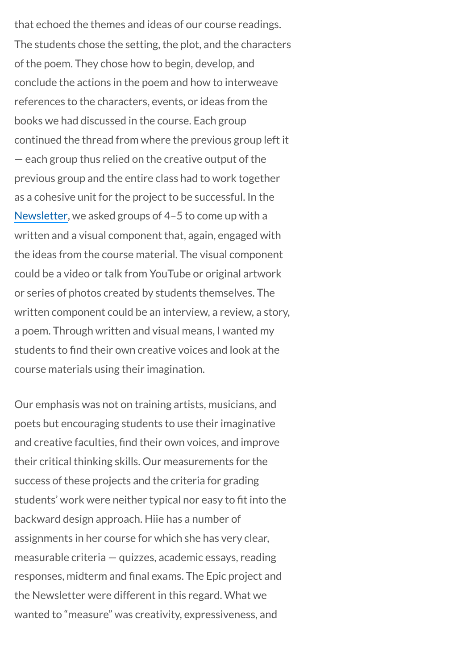that echoed the themes and ideas of our course readings. The students chose the setting, the plot, and the characters of the poem. They chose how to begin, develop, and conclude the actions in the poem and how to interweave references to the characters, events, or ideas from the books we had discussed in the course. Each group continued the thread from where the previous group left it — each group thus relied on the creative output of the previous group and the entire class had to work together as a cohesive unit for the project to be successful. In the [Newsletter](http://pub.lucidpress.com/90b4b8c8-a923-4079-ae83-1bdea84bba1e/), we asked groups of 4–5 to come up with a written and a visual component that, again, engaged with the ideas from the course material. The visual component could be a video or talk from YouTube or original artwork or series of photos created by students themselves. The written component could be an interview, a review, a story, a poem. Through written and visual means, I wanted my students to find their own creative voices and look at the course materials using their imagination.

Our emphasis was not on training artists, musicians, and poets but encouraging students to use their imaginative and creative faculties, find their own voices, and improve their critical thinking skills. Our measurements for the success of these projects and the criteria for grading students' work were neither typical nor easy to fit into the backward design approach. Hiie has a number of assignments in her course for which she has very clear, measurable criteria — quizzes, academic essays, reading responses, midterm and final exams. The Epic project and the Newsletter were different in this regard. What we wanted to "measure" was creativity, expressiveness, and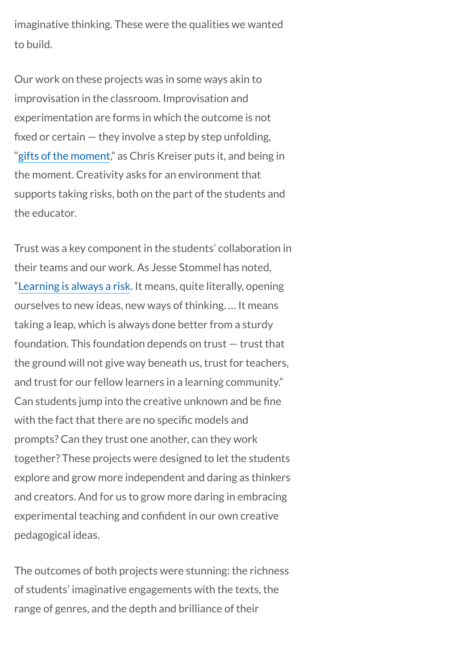imaginative thinking. These were the qualities we wanted to build.

Our work on these projects was in some ways akin to improvisation in the classroom. Improvisation and experimentation are forms in which the outcome is not fixed or certain — they involve a step by step unfolding, "[gifts of the moment](http://hybridpedagogy.org/gifts-of-the-moment/)," as Chris Kreiser puts it, and being in the moment. Creativity asks for an environment that supports taking risks, both on the part of the students and the educator.

Trust was a key component in the students' collaboration in their teams and our work. As Jesse Stommel has noted, "[Learning is always a risk](http://hybridpedagogy.org/trust-agency-connected-learning/). It means, quite literally, opening ourselves to new ideas, new ways of thinking. … It means taking a leap, which is always done better from a sturdy foundation. This foundation depends on trust — trust that the ground will not give way beneath us, trust for teachers, and trust for our fellow learners in a learning community." Can students jump into the creative unknown and be fine with the fact that there are no specific models and prompts? Can they trust one another, can they work together? These projects were designed to let the students explore and grow more independent and daring as thinkers and creators. And for us to grow more daring in embracing experimental teaching and confident in our own creative pedagogical ideas.

The outcomes of both projects were stunning: the richness of students' imaginative engagements with the texts, the range of genres, and the depth and brilliance of their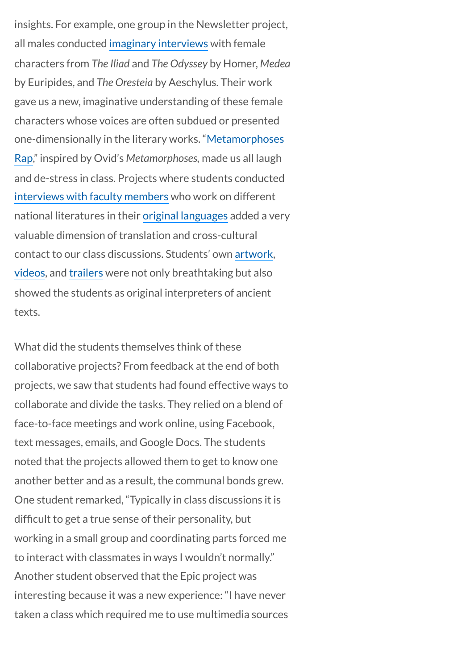insights. For example, one group in the Newsletter project, all males conducted [imaginary interviews](http://pub.lucidpress.com/90b4b8c8-a923-4079-ae83-1bdea84bba1e/#YmAtr.vbM.B8) with female characters from *The Iliad* and *The Odyssey* by Homer, *Medea* by Euripides, and *The Oresteia* by Aeschylus. Their work gave us a new, imaginative understanding of these female characters whose voices are often subdued or presented [one-dimensionally in the literary works. "Metamorphoses](http://pub.lucidpress.com/90b4b8c8-a923-4079-ae83-1bdea84bba1e/#SOPiZiYfFCSI) Rap," inspired by Ovid's *Metamorphoses,* made us all laugh and de-stress in class. Projects where students conducted [interviews with faculty members](http://pub.lucidpress.com/90b4b8c8-a923-4079-ae83-1bdea84bba1e/#8XxtIKZzIv7G) who work on different national literatures in their [original languages](http://pub.lucidpress.com/90b4b8c8-a923-4079-ae83-1bdea84bba1e/#6lwx6s4v-BBQ) added a very valuable dimension of translation and cross-cultural contact to our class discussions. Students' own [artwork](http://pub.lucidpress.com/90b4b8c8-a923-4079-ae83-1bdea84bba1e/#_uJsNeTTOdgp), [videos,](http://pub.lucidpress.com/90b4b8c8-a923-4079-ae83-1bdea84bba1e/#DT5D~PZG3rHe) and [trailers](http://pub.lucidpress.com/90b4b8c8-a923-4079-ae83-1bdea84bba1e/#vmxr-C2BWkDv) were not only breathtaking but also showed the students as original interpreters of ancient texts.

What did the students themselves think of these collaborative projects? From feedback at the end of both projects, we saw that students had found effective ways to collaborate and divide the tasks. They relied on a blend of face-to-face meetings and work online, using Facebook, text messages, emails, and Google Docs. The students noted that the projects allowed them to get to know one another better and as a result, the communal bonds grew. One student remarked, "Typically in class discussions it is difficult to get a true sense of their personality, but working in a small group and coordinating parts forced me to interact with classmates in ways I wouldn't normally." Another student observed that the Epic project was interesting because it was a new experience: "I have never taken a class which required me to use multimedia sources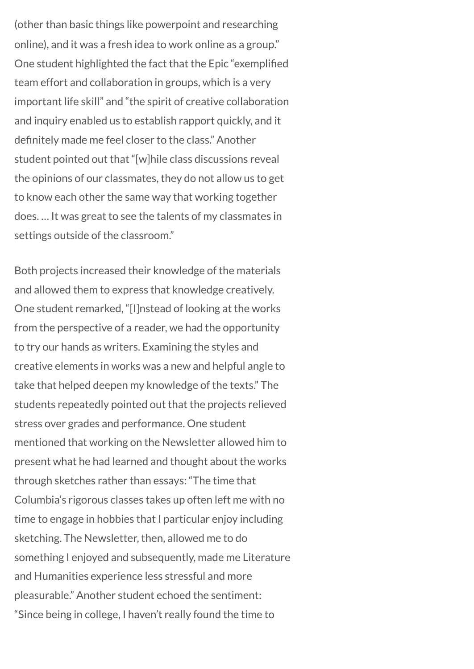(other than basic things like powerpoint and researching online), and it was a fresh idea to work online as a group." One student highlighted the fact that the Epic "exemplified team effort and collaboration in groups, which is a very important life skill" and "the spirit of creative collaboration and inquiry enabled us to establish rapport quickly, and it definitely made me feel closer to the class." Another student pointed out that "[w]hile class discussions reveal the opinions of our classmates, they do not allow us to get to know each other the same way that working together does. … It was great to see the talents of my classmates in settings outside of the classroom."

Both projects increased their knowledge of the materials and allowed them to express that knowledge creatively. One student remarked, "[I]nstead of looking at the works from the perspective of a reader, we had the opportunity to try our hands as writers. Examining the styles and creative elements in works was a new and helpful angle to take that helped deepen my knowledge of the texts." The students repeatedly pointed out that the projects relieved stress over grades and performance. One student mentioned that working on the Newsletter allowed him to present what he had learned and thought about the works through sketches rather than essays: "The time that Columbia's rigorous classes takes up often left me with no time to engage in hobbies that I particular enjoy including sketching. The Newsletter, then, allowed me to do something I enjoyed and subsequently, made me Literature and Humanities experience less stressful and more pleasurable." Another student echoed the sentiment: "Since being in college, I haven't really found the time to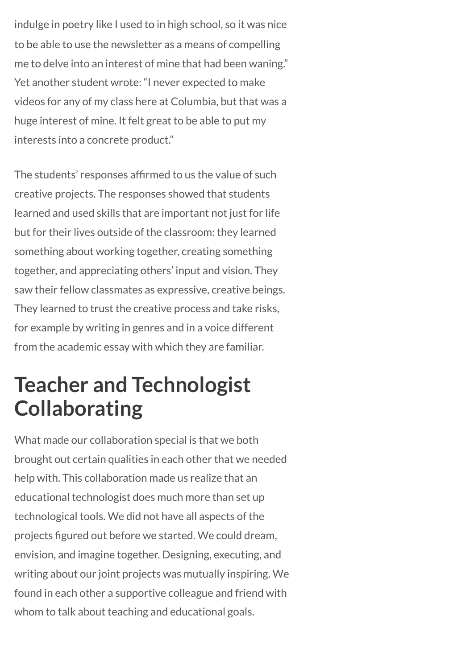indulge in poetry like I used to in high school, so it was nice to be able to use the newsletter as a means of compelling me to delve into an interest of mine that had been waning." Yet another student wrote: "I never expected to make videos for any of my class here at Columbia, but that was a huge interest of mine. It felt great to be able to put my interests into a concrete product."

The students' responses affirmed to us the value of such creative projects. The responses showed that students learned and used skills that are important not just for life but for their lives outside of the classroom: they learned something about working together, creating something together, and appreciating others' input and vision. They saw their fellow classmates as expressive, creative beings. They learned to trust the creative process and take risks, for example by writing in genres and in a voice different from the academic essay with which they are familiar.

### **Teacher and Technologist Collaborating**

What made our collaboration special is that we both brought out certain qualities in each other that we needed help with. This collaboration made us realize that an educational technologist does much more than set up technological tools. We did not have all aspects of the projects figured out before we started. We could dream, envision, and imagine together. Designing, executing, and writing about our joint projects was mutually inspiring. We found in each other a supportive colleague and friend with whom to talk about teaching and educational goals.